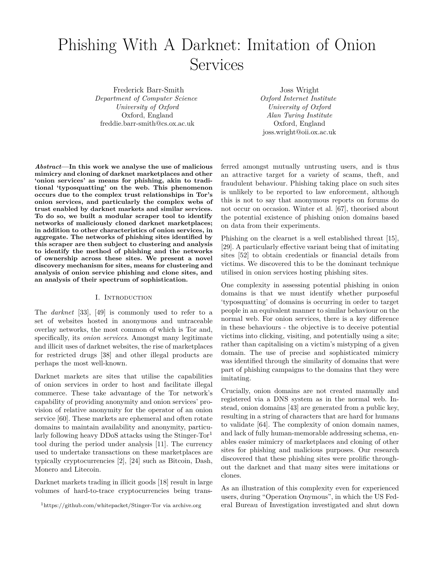# Phishing With A Darknet: Imitation of Onion Services

Frederick Barr-Smith *Department of Computer Science University of Oxford* Oxford, England freddie.barr-smith@cs.ox.ac.uk

Joss Wright *Oxford Internet Institute University of Oxford Alan Turing Institute* Oxford, England joss.wright@oii.ox.ac.uk

*Abstract***—In this work we analyse the use of malicious mimicry and cloning of darknet marketplaces and other 'onion services' as means for phishing, akin to traditional 'typosquatting' on the web. This phenomenon occurs due to the complex trust relationships in Tor's onion services, and particularly the complex webs of trust enabled by darknet markets and similar services. To do so, we built a modular scraper tool to identify networks of maliciously cloned darknet marketplaces; in addition to other characteristics of onion services, in aggregate. The networks of phishing sites identified by this scraper are then subject to clustering and analysis to identify the method of phishing and the networks of ownership across these sites. We present a novel discovery mechanism for sites, means for clustering and analysis of onion service phishing and clone sites, and an analysis of their spectrum of sophistication.**

#### I. INTRODUCTION

The *darknet* [33], [49] is commonly used to refer to a set of websites hosted in anonymous and untraceable overlay networks, the most common of which is Tor and, specifically, its *onion services*. Amongst many legitimate and illicit uses of darknet websites, the rise of marketplaces for restricted drugs [38] and other illegal products are perhaps the most well-known.

Darknet markets are sites that utilise the capabilities of onion services in order to host and facilitate illegal commerce. These take advantage of the Tor network's capability of providing anonymity and onion services' provision of relative anonymity for the operator of an onion service [60]. These markets are ephemeral and often rotate domains to maintain availability and anonymity, particularly following heavy DDoS attacks using the Stinger-Tor<sup>1</sup> tool during the period under analysis [11]. The currency used to undertake transactions on these marketplaces are typically cryptocurrencies [2], [24] such as Bitcoin, Dash, Monero and Litecoin.

Darknet markets trading in illicit goods [18] result in large volumes of hard-to-trace cryptocurrencies being transferred amongst mutually untrusting users, and is thus an attractive target for a variety of scams, theft, and fraudulent behaviour. Phishing taking place on such sites is unlikely to be reported to law enforcement, although this is not to say that anonymous reports on forums do not occur on occasion. Winter et al. [67], theorised about the potential existence of phishing onion domains based on data from their experiments.

Phishing on the clearnet is a well established threat [15], [29]. A particularly effective variant being that of imitating sites [52] to obtain credentials or financial details from victims. We discovered this to be the dominant technique utilised in onion services hosting phishing sites.

One complexity in assessing potential phishing in onion domains is that we must identify whether purposeful 'typosquatting' of domains is occurring in order to target people in an equivalent manner to similar behaviour on the normal web. For onion services, there is a key difference in these behaviours - the objective is to deceive potential victims into clicking, visiting, and potentially using a site; rather than capitalising on a victim's mistyping of a given domain. The use of precise and sophisticated mimicry was identified through the similarity of domains that were part of phishing campaigns to the domains that they were imitating.

Crucially, onion domains are not created manually and registered via a DNS system as in the normal web. Instead, onion domains [43] are generated from a public key, resulting in a string of characters that are hard for humans to validate [64]. The complexity of onion domain names, and lack of fully human-memorable addressing schema, enables easier mimicry of marketplaces and cloning of other sites for phishing and malicious purposes. Our research discovered that these phishing sites were prolific throughout the darknet and that many sites were imitations or clones.

As an illustration of this complexity even for experienced users, during "Operation Onymous", in which the US Federal Bureau of Investigation investigated and shut down

<sup>1</sup>https://github.com/whitepacket/Stinger-Tor via archive.org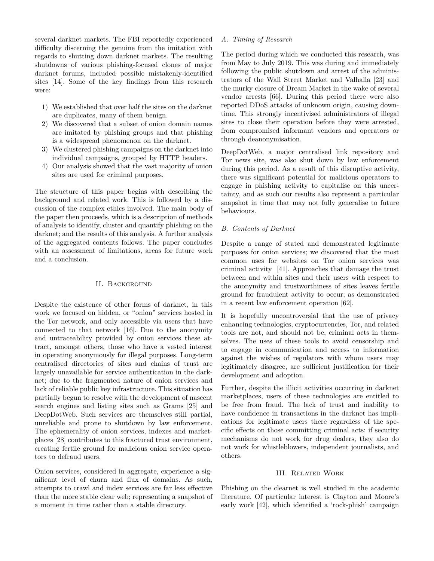several darknet markets. The FBI reportedly experienced difficulty discerning the genuine from the imitation with regards to shutting down darknet markets. The resulting shutdowns of various phishing-focused clones of major darknet forums, included possible mistakenly-identified sites [14]. Some of the key findings from this research were:

- 1) We established that over half the sites on the darknet are duplicates, many of them benign.
- 2) We discovered that a subset of onion domain names are imitated by phishing groups and that phishing is a widespread phenomenon on the darknet.
- 3) We clustered phishing campaigns on the darknet into individual campaigns, grouped by HTTP headers.
- 4) Our analysis showed that the vast majority of onion sites are used for criminal purposes.

The structure of this paper begins with describing the background and related work. This is followed by a discussion of the complex ethics involved. The main body of the paper then proceeds, which is a description of methods of analysis to identify, cluster and quantify phishing on the darknet; and the results of this analysis. A further analysis of the aggregated contents follows. The paper concludes with an assessment of limitations, areas for future work and a conclusion.

## II. Background

Despite the existence of other forms of darknet, in this work we focused on hidden, or "onion" services hosted in the Tor network, and only accessible via users that have connected to that network [16]. Due to the anonymity and untraceability provided by onion services these attract, amongst others, those who have a vested interest in operating anonymously for illegal purposes. Long-term centralised directories of sites and chains of trust are largely unavailable for service authentication in the darknet; due to the fragmented nature of onion services and lack of reliable public key infrastructure. This situation has partially begun to resolve with the development of nascent search engines and listing sites such as Grams [25] and DeepDotWeb. Such services are themselves still partial, unreliable and prone to shutdown by law enforcement. The ephemerality of onion services, indexes and marketplaces [28] contributes to this fractured trust environment, creating fertile ground for malicious onion service operators to defraud users.

Onion services, considered in aggregate, experience a significant level of churn and flux of domains. As such, attempts to crawl and index services are far less effective than the more stable clear web; representing a snapshot of a moment in time rather than a stable directory.

## *A. Timing of Research*

The period during which we conducted this research, was from May to July 2019. This was during and immediately following the public shutdown and arrest of the administrators of the Wall Street Market and Valhalla [23] and the murky closure of Dream Market in the wake of several vendor arrests [66]. During this period there were also reported DDoS attacks of unknown origin, causing downtime. This strongly incentivised administrators of illegal sites to close their operation before they were arrested, from compromised informant vendors and operators or through deanonymisation.

DeepDotWeb, a major centralised link repository and Tor news site, was also shut down by law enforcement during this period. As a result of this disruptive activity, there was significant potential for malicious operators to engage in phishing activity to capitalise on this uncertainty, and as such our results also represent a particular snapshot in time that may not fully generalise to future behaviours.

### *B. Contents of Darknet*

Despite a range of stated and demonstrated legitimate purposes for onion services; we discovered that the most common uses for websites on Tor onion services was criminal activity [41]. Approaches that damage the trust between and within sites and their users with respect to the anonymity and trustworthiness of sites leaves fertile ground for fraudulent activity to occur; as demonstrated in a recent law enforcement operation [62].

It is hopefully uncontroversial that the use of privacy enhancing technologies, cryptocurrencies, Tor, and related tools are not, and should not be, criminal acts in themselves. The uses of these tools to avoid censorship and to engage in communication and access to information against the wishes of regulators with whom users may legitimately disagree, are sufficient justification for their development and adoption.

Further, despite the illicit activities occurring in darknet marketplaces, users of these technologies are entitled to be free from fraud. The lack of trust and inability to have confidence in transactions in the darknet has implications for legitimate users there regardless of the specific effects on those committing criminal acts: if security mechanisms do not work for drug dealers, they also do not work for whistleblowers, independent journalists, and others.

#### III. Related Work

Phishing on the clearnet is well studied in the academic literature. Of particular interest is Clayton and Moore's early work [42], which identified a 'rock-phish' campaign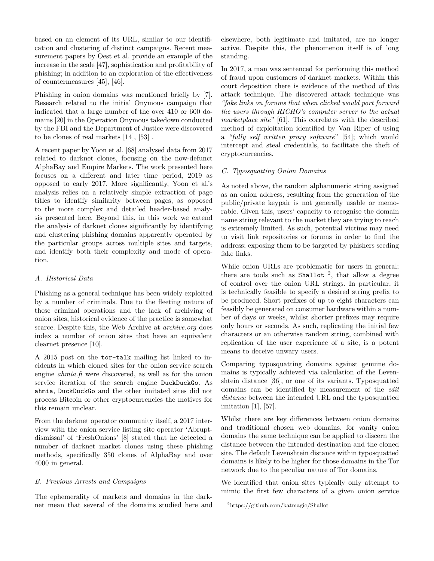based on an element of its URL, similar to our identification and clustering of distinct campaigns. Recent measurement papers by Oest et al. provide an example of the increase in the scale [47], sophistication and profitability of phishing; in addition to an exploration of the effectiveness of countermeasures [45], [46].

Phishing in onion domains was mentioned briefly by [7]. Research related to the initial Onymous campaign that indicated that a large number of the over 410 or 600 domains [20] in the Operation Onymous takedown conducted by the FBI and the Department of Justice were discovered to be clones of real markets [14], [53] .

A recent paper by Yoon et al. [68] analysed data from 2017 related to darknet clones, focusing on the now-defunct AlphaBay and Empire Markets. The work presented here focuses on a different and later time period, 2019 as opposed to early 2017. More significantly, Yoon et al.'s analysis relies on a relatively simple extraction of page titles to identify similarity between pages, as opposed to the more complex and detailed header-based analysis presented here. Beyond this, in this work we extend the analysis of darknet clones significantly by identifying and clustering phishing domains apparently operated by the particular groups across multiple sites and targets, and identify both their complexity and mode of operation.

## *A. Historical Data*

Phishing as a general technique has been widely exploited by a number of criminals. Due to the fleeting nature of these criminal operations and the lack of archiving of onion sites, historical evidence of the practice is somewhat scarce. Despite this, the Web Archive at *archive.org* does index a number of onion sites that have an equivalent clearnet presence [10].

A 2015 post on the tor-talk mailing list linked to incidents in which cloned sites for the onion service search engine *ahmia.fi* were discovered, as well as for the onion service iteration of the search engine DuckDuckGo. As ahmia, DuckDuckGo and the other imitated sites did not process Bitcoin or other cryptocurrencies the motives for this remain unclear.

From the darknet operator community itself, a 2017 interview with the onion service listing site operator 'Abruptdismissal' of 'FreshOnions' [8] stated that he detected a number of darknet market clones using these phishing methods, specifically 350 clones of AlphaBay and over 4000 in general.

## *B. Previous Arrests and Campaigns*

The ephemerality of markets and domains in the darknet mean that several of the domains studied here and elsewhere, both legitimate and imitated, are no longer active. Despite this, the phenomenon itself is of long standing.

In 2017, a man was sentenced for performing this method of fraud upon customers of darknet markets. Within this court deposition there is evidence of the method of this attack technique. The discovered attack technique was *"fake links on forums that when clicked would port forward the users through RICHO's computer server to the actual marketplace site*" [61]. This correlates with the described method of exploitation identified by Van Riper of using a *"fully self written proxy software*" [54]; which would intercept and steal credentials, to facilitate the theft of cryptocurrencies.

## *C. Typosquatting Onion Domains*

As noted above, the random alphanumeric string assigned as an onion address, resulting from the generation of the public/private keypair is not generally usable or memorable. Given this, users' capacity to recognise the domain name string relevant to the market they are trying to reach is extremely limited. As such, potential victims may need to visit link repositories or forums in order to find the address; exposing them to be targeted by phishers seeding fake links.

While onion URLs are problematic for users in general; there are tools such as Shallot  $^2$ , that allow a degree of control over the onion URL strings. In particular, it is technically feasible to specify a desired string prefix to be produced. Short prefixes of up to eight characters can feasibly be generated on consumer hardware within a number of days or weeks, whilst shorter prefixes may require only hours or seconds. As such, replicating the initial few characters or an otherwise random string, combined with replication of the user experience of a site, is a potent means to deceive unwary users.

Comparing typosquatting domains against genuine domains is typically achieved via calculation of the Levenshtein distance [36], or one of its variants. Typosquatted domains can be identified by measurement of the *edit distance* between the intended URL and the typosquatted imitation [1], [57].

Whilst there are key differences between onion domains and traditional chosen web domains, for vanity onion domains the same technique can be applied to discern the distance between the intended destination and the cloned site. The default Levenshtein distance within typosquatted domains is likely to be higher for those domains in the Tor network due to the peculiar nature of Tor domains.

We identified that onion sites typically only attempt to mimic the first few characters of a given onion service

<sup>2</sup>https://github.com/katmagic/Shallot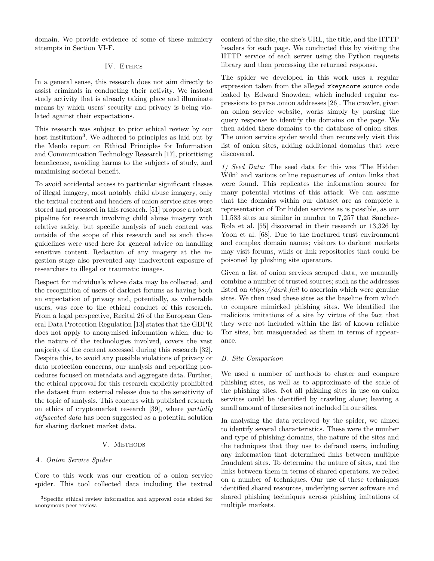domain. We provide evidence of some of these mimicry attempts in Section VI-F.

# IV. ETHICS

In a general sense, this research does not aim directly to assist criminals in conducting their activity. We instead study activity that is already taking place and illuminate means by which users' security and privacy is being violated against their expectations.

This research was subject to prior ethical review by our host institution<sup>3</sup>. We adhered to principles as laid out by the Menlo report on Ethical Principles for Information and Communication Technology Research [17], prioritising beneficence, avoiding harms to the subjects of study, and maximising societal benefit.

To avoid accidental access to particular significant classes of illegal imagery, most notably child abuse imagery, only the textual content and headers of onion service sites were stored and processed in this research. [51] propose a robust pipeline for research involving child abuse imagery with relative safety, but specific analysis of such content was outside of the scope of this research and as such those guidelines were used here for general advice on handling sensitive content. Redaction of any imagery at the ingestion stage also prevented any inadvertent exposure of researchers to illegal or traumatic images.

Respect for individuals whose data may be collected, and the recognition of users of darknet forums as having both an expectation of privacy and, potentially, as vulnerable users, was core to the ethical conduct of this research. From a legal perspective, Recital 26 of the European General Data Protection Regulation [13] states that the GDPR does not apply to anonymised information which, due to the nature of the technologies involved, covers the vast majority of the content accessed during this research [32]. Despite this, to avoid any possible violations of privacy or data protection concerns, our analysis and reporting procedures focused on metadata and aggregate data. Further, the ethical approval for this research explicitly prohibited the dataset from external release due to the sensitivity of the topic of analysis. This concurs with published research on ethics of cryptomarket research [39], where *partially obfuscated data* has been suggested as a potential solution for sharing darknet market data.

## V. METHODS

#### *A. Onion Service Spider*

Core to this work was our creation of a onion service spider. This tool collected data including the textual content of the site, the site's URL, the title, and the HTTP headers for each page. We conducted this by visiting the HTTP service of each server using the Python requests library and then processing the returned response.

The spider we developed in this work uses a regular expression taken from the alleged xkeyscore source code leaked by Edward Snowden; which included regular expressions to parse .onion addresses [26]. The crawler, given an onion service website, works simply by parsing the query response to identify the domains on the page. We then added these domains to the database of onion sites. The onion service spider would then recursively visit this list of onion sites, adding additional domains that were discovered.

*1) Seed Data:* The seed data for this was 'The Hidden Wiki' and various online repositories of .onion links that were found. This replicates the information source for many potential victims of this attack. We can assume that the domains within our dataset are as complete a representation of Tor hidden services as is possible, as our 11,533 sites are similar in number to 7,257 that Sanchez-Rola et al. [55] discovered in their research or 13,326 by Yoon et al. [68]. Due to the fractured trust environment and complex domain names; visitors to darknet markets may visit forums, wikis or link repositories that could be poisoned by phishing site operators.

Given a list of onion services scraped data, we manually combine a number of trusted sources; such as the addresses listed on *https://dark.fail* to ascertain which were genuine sites. We then used these sites as the baseline from which to compare mimicked phishing sites. We identified the malicious imitations of a site by virtue of the fact that they were not included within the list of known reliable Tor sites, but masqueraded as them in terms of appearance.

#### *B. Site Comparison*

We used a number of methods to cluster and compare phishing sites, as well as to approximate of the scale of the phishing sites. Not all phishing sites in use on onion services could be identified by crawling alone; leaving a small amount of these sites not included in our sites.

In analysing the data retrieved by the spider, we aimed to identify several characteristics. These were the number and type of phishing domains, the nature of the sites and the techniques that they use to defraud users, including any information that determined links between multiple fraudulent sites. To determine the nature of sites, and the links between them in terms of shared operators, we relied on a number of techniques. Our use of these techniques identified shared resources, underlying server software and shared phishing techniques across phishing imitations of multiple markets.

<sup>3</sup>Specific ethical review information and approval code elided for anonymous peer review.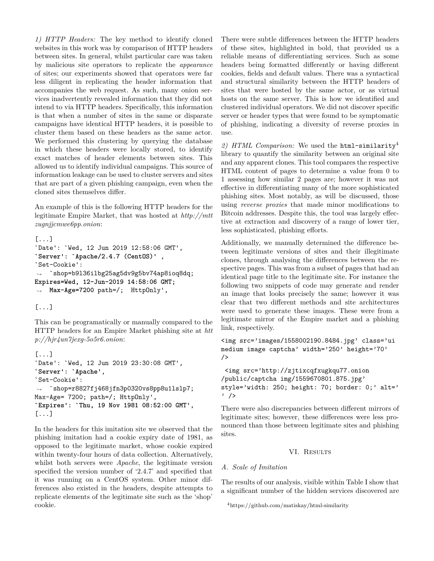*1) HTTP Headers:* The key method to identify cloned websites in this work was by comparison of HTTP headers between sites. In general, whilst particular care was taken by malicious site operators to replicate the *appearance* of sites; our experiments showed that operators were far less diligent in replicating the header information that accompanies the web request. As such, many onion services inadvertently revealed information that they did not intend to via HTTP headers. Specifically, this information is that when a number of sites in the same or disparate campaigns have identical HTTP headers, it is possible to cluster them based on these headers as the same actor. We performed this clustering by querying the database in which these headers were locally stored, to identify exact matches of header elements between sites. This allowed us to identify individual campaigns. This source of information leakage can be used to cluster servers and sites that are part of a given phishing campaign, even when the cloned sites themselves differ.

An example of this is the following HTTP headers for the legitimate Empire Market, that was hosted at *http://mtt zugnjjcmwe6pp.onion*:

```
[...]
`Date': `Wed, 12 Jun 2019 12:58:06 GMT',
`Server': `Apache/2.4.7 (CentOS)' ,
`Set-Cookie':
֒→ `shop=b9l36ilbg25ag5dv9g5bv74ap8ioq8dq;
Expires=Wed, 12-Jun-2019 14:58:06 GMT;
֒→ Max-Age=7200 path=/; HttpOnly',
```
[...]

This can be programatically or manually compared to the HTTP headers for an Empire Market phishing site at *htt p://hjr4un7jexg-5o5r6.onion*:

```
[...]
`Date': `Wed, 12 Jun 2019 23:30:08 GMT',
`Server': `Apache',
`Set-Cookie':
֒→ `shop=r8827fj468jfn3p0320vs8pp8u1lslp7;
Max-Age= 7200; path=/; HttpOnly',
`Expires': `Thu, 19 Nov 1981 08:52:00 GMT',
[...]
```
In the headers for this imitation site we observed that the phishing imitation had a cookie expiry date of 1981, as opposed to the legitimate market, whose cookie expired within twenty-four hours of data collection. Alternatively, whilst both servers were *Apache*, the legitimate version specified the version number of '2.4.7' and specified that it was running on a CentOS system. Other minor differences also existed in the headers, despite attempts to replicate elements of the legitimate site such as the 'shop' cookie.

There were subtle differences between the HTTP headers of these sites, highlighted in bold, that provided us a reliable means of differentiating services. Such as some headers being formatted differently or having different cookies, fields and default values. There was a syntactical and structural similarity between the HTTP headers of sites that were hosted by the same actor, or as virtual hosts on the same server. This is how we identified and clustered individual operators. We did not discover specific server or header types that were found to be symptomatic of phishing, indicating a diversity of reverse proxies in use.

*2) HTML Comparison:* We used the html-similarity<sup>4</sup> library to quantify the similarity between an original site and any apparent clones. This tool compares the respective HTML content of pages to determine a value from 0 to 1 assessing how similar 2 pages are; however it was not effective in differentiating many of the more sophisticated phishing sites. Most notably, as will be discussed, those using *reverse proxies* that made minor modifications to Bitcoin addresses. Despite this, the tool was largely effective at extraction and discovery of a range of lower tier, less sophisticated, phishing efforts.

Additionally, we manually determined the difference between legitimate versions of sites and their illegitimate clones, through analysing the differences between the respective pages. This was from a subset of pages that had an identical page title to the legitimate site. For instance the following two snippets of code may generate and render an image that looks precisely the same; however it was clear that two different methods and site architectures were used to generate these images. These were from a legitimate mirror of the Empire market and a phishing link, respectively.

```
<img src='images/1558002190.8484.jpg' class='ui
medium image captcha' width='250' height='70'
/>
```

```
<img src='http://zjtixcqfxugkqu77.onion
/public/captcha img/1559670801.875.jpg'
style='width: 250; height: 70; border: 0;' alt='
' />
```
There were also discrepancies between different mirrors of legitimate sites; however, these differences were less pronounced than those between legitimate sites and phishing sites.

# VI. RESULTS

## *A. Scale of Imitation*

The results of our analysis, visible within Table I show that a significant number of the hidden services discovered are

```
4https://github.com/matiskay/html-similarity
```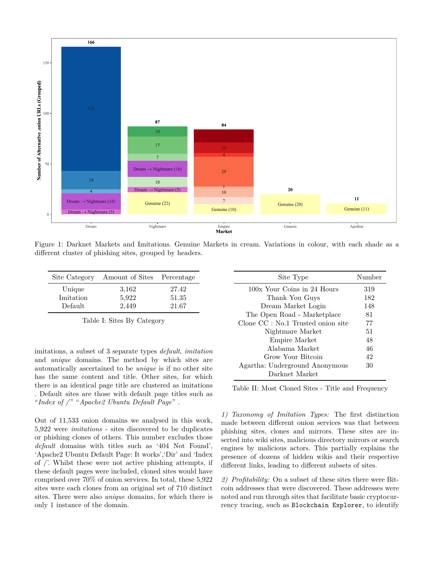

Figure 1: Darknet Markets and Imitations. Genuine Markets in cream. Variations in colour, with each shade as a different cluster of phishing sites, grouped by headers.

| Site Category        | Amount of Sites | Percentage     |
|----------------------|-----------------|----------------|
| Unique               | 3,162           | 27.42          |
| Imitation<br>Default | 5,922<br>2,449  | 51.35<br>21.67 |

Table I: Sites By Category

imitations, a subset of 3 separate types *default*, *imitation* and *unique* domains. The method by which sites are automatically ascertained to be *unique* is if no other site has the same content and title. Other sites, for which there is an identical page title are clustered as imitations . Default sites are those with default page titles such as "*Index of /* " "*Apache2 Ubuntu Default Page*" .

Out of 11,533 onion domains we analysed in this work, 5,922 were *imitations* - sites discovered to be duplicates or phishing clones of others. This number excludes those *default* domains with titles such as '404 Not Found', 'Apache2 Ubuntu Default Page: It works','Dir' and 'Index of /'. Whilst these were not active phishing attempts, if these default pages were included, cloned sites would have comprised over 70% of onion services. In total, these 5,922 sites were each clones from an original set of 710 distinct sites. There were also *unique* domains, for which there is only 1 instance of the domain.

| Site Type                                        | Number |
|--------------------------------------------------|--------|
| 100x Your Coins in 24 Hours                      | 319    |
| Thank You Guys                                   | 182    |
| Dream Market Login                               | 148    |
| The Open Road - Marketplace                      | 81     |
| Clone CC : No.1 Trusted onion site               | 77     |
| Nightmare Market                                 | 51     |
| Empire Market                                    | 48     |
| Alabama Market                                   | 46     |
| Grow Your Bitcoin                                | 42     |
| Agartha: Underground Anonymous<br>Darknet Market | 30     |

Table II: Most Cloned Sites - Title and Frequency

*1) Taxonomy of Imitation Types:* The first distinction made between different onion services was that between phishing sites, clones and mirrors. These sites are inserted into wiki sites, malicious directory mirrors or search engines by malicious actors. This partially explains the presence of dozens of hidden wikis and their respective different links, leading to different subsets of sites.

*2) Profitability:* On a subset of these sites there were Bitcoin addresses that were discovered. These addresses were noted and run through sites that facilitate basic cryptocurrency tracing, such as Blockchain Explorer, to identify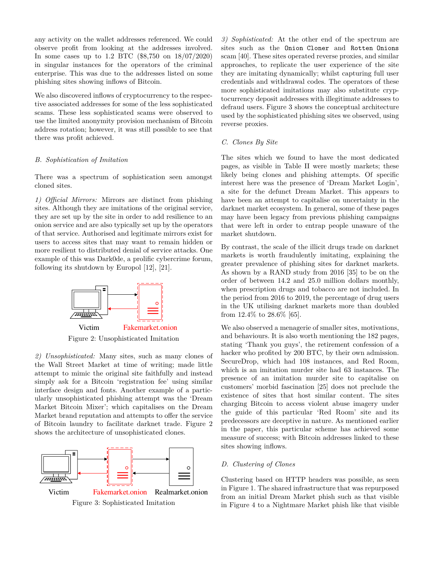any activity on the wallet addresses referenced. We could observe profit from looking at the addresses involved. In some cases up to 1.2 BTC (\$8,750 on 18/07/2020) in singular instances for the operators of the criminal enterprise. This was due to the addresses listed on some phishing sites showing inflows of Bitcoin.

We also discovered inflows of cryptocurrency to the respective associated addresses for some of the less sophisticated scams. These less sophisticated scams were observed to use the limited anonymity provision mechanism of Bitcoin address rotation; however, it was still possible to see that there was profit achieved.

## *B. Sophistication of Imitation*

There was a spectrum of sophistication seen amongst cloned sites.

*1) Official Mirrors:* Mirrors are distinct from phishing sites. Although they are imitations of the original service, they are set up by the site in order to add resilience to an onion service and are also typically set up by the operators of that service. Authorised and legitimate mirrors exist for users to access sites that may want to remain hidden or more resilient to distributed denial of service attacks. One example of this was Dark0de, a prolific cybercrime forum, following its shutdown by Europol [12], [21].



*2) Unsophisticated:* Many sites, such as many clones of the Wall Street Market at time of writing; made little attempt to mimic the original site faithfully and instead simply ask for a Bitcoin 'registration fee' using similar interface design and fonts. Another example of a particularly unsophisticated phishing attempt was the 'Dream Market Bitcoin Mixer'; which capitalises on the Dream Market brand reputation and attempts to offer the service of Bitcoin laundry to facilitate darknet trade. Figure 2 shows the architecture of unsophisticated clones.



*3) Sophisticated:* At the other end of the spectrum are sites such as the Onion Cloner and Rotten Onions scam [40]. These sites operated reverse proxies, and similar approaches, to replicate the user experience of the site they are imitating dynamically; whilst capturing full user credentials and withdrawal codes. The operators of these more sophisticated imitations may also substitute cryptocurrency deposit addresses with illegitimate addresses to defraud users. Figure 3 shows the conceptual architecture used by the sophisticated phishing sites we observed, using reverse proxies.

## *C. Clones By Site*

The sites which we found to have the most dedicated pages, as visible in Table II were mostly markets; these likely being clones and phishing attempts. Of specific interest here was the presence of 'Dream Market Login', a site for the defunct Dream Market. This appears to have been an attempt to capitalise on uncertainty in the darknet market ecosystem. In general, some of these pages may have been legacy from previous phishing campaigns that were left in order to entrap people unaware of the market shutdown.

By contrast, the scale of the illicit drugs trade on darknet markets is worth fraudulently imitating, explaining the greater prevalence of phishing sites for darknet markets. As shown by a RAND study from 2016 [35] to be on the order of between 14.2 and 25.0 million dollars monthly, when prescription drugs and tobacco are not included. In the period from 2016 to 2019, the percentage of drug users in the UK utilising darknet markets more than doubled from 12.4% to 28.6% [65].

We also observed a menagerie of smaller sites, motivations, and behaviours. It is also worth mentioning the 182 pages, stating 'Thank you guys', the retirement confession of a hacker who profited by 200 BTC, by their own admission. SecureDrop, which had 108 instances, and Red Room, which is an imitation murder site had 63 instances. The presence of an imitation murder site to capitalise on customers' morbid fascination [25] does not preclude the existence of sites that host similar content. The sites charging Bitcoin to access violent abuse imagery under the guide of this particular 'Red Room' site and its predecessors are deceptive in nature. As mentioned earlier in the paper, this particular scheme has achieved some measure of success; with Bitcoin addresses linked to these sites showing inflows.

#### *D. Clustering of Clones*

Clustering based on HTTP headers was possible, as seen in Figure 1. The shared infrastructure that was repurposed from an initial Dream Market phish such as that visible in Figure 4 to a Nightmare Market phish like that visible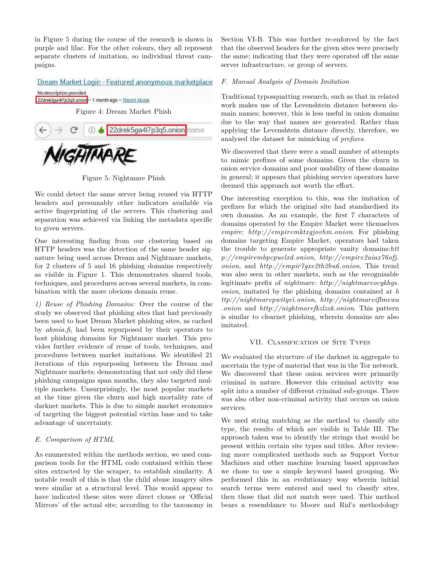in Figure 5 during the course of the research is shown in purple and lilac. For the other colours, they all represent separate clusters of imitation, so individual threat campaigns.

Dream Market Login - Featured anonymous marketplace No description provided 22drek5ga4l7p3q5.onion-1 month ago - Report Abuse

Figure 4: Dream Market Phish



Figure 5: Nightmare Phish

We could detect the same server being reused via HTTP headers and presumably other indicators available via active fingerprinting of the servers. This clustering and separation was achieved via linking the metadata specific to given servers.

One interesting finding from our clustering based on HTTP headers was the detection of the same header signature being used across Dream and Nightmare markets, for 2 clusters of 5 and 16 phishing domains respectively as visible in Figure 1. This demonstrates shared tools, techniques, and procedures across several markets, in combination with the more obvious domain reuse.

*1) Reuse of Phishing Domains:* Over the course of the study we observed that phishing sites that had previously been used to host Dream Market phishing sites, as cached by *ahmia.fi*, had been repurposed by their operators to host phishing domains for Nightmare market. This provides further evidence of reuse of tools, techniques, and procedures between market imitations. We identified 21 iterations of this repurposing between the Dream and Nightmare markets; demonstrating that not only did these phishing campaigns span months, they also targeted multiple markets. Unsurprisingly, the most popular markets at the time given the churn and high mortality rate of darknet markets. This is due to simple market economics of targeting the biggest potential victim base and to take advantage of uncertainty.

# *E. Comparison of HTML*

As enumerated within the methods section, we used comparison tools for the HTML code contained within these sites extracted by the scraper, to establish similarity. A notable result of this is that the child abuse imagery sites were similar at a structural level. This would appear to have indicated these sites were direct clones or 'Official Mirrors' of the actual site; according to the taxonomy in Section VI-B. This was further re-enforced by the fact that the observed headers for the given sites were precisely the same; indicating that they were operated off the same server infrastructure, or group of servers.

## *F. Manual Analysis of Domain Imitation*

Traditional typosquatting research, such as that in related work makes use of the Levenshtein distance between domain names; however, this is less useful in onion domains due to the way that names are generated. Rather than applying the Levenshtein distance directly, therefore, we analysed the dataset for mimicking of *prefixes*.

We discovered that there were a small number of attempts to mimic prefixes of some domains. Given the churn in onion service domains and poor usability of these domains in general; it appears that phishing service operators have deemed this approach not worth the effort.

One interesting exception to this, was the imitation of prefixes for which the original site had standardised its own domains. As an example, the first 7 characters of domains operated by the Empire Market were themselves *empire*: *http://empiremktxgjovhm.onion*. For phishing domains targeting Empire Market, operators had taken the trouble to generate appropriate vanity domains:*htt p://empirembpcpuelxd.onion*, *http://empire2uiax76ofj. onion*, and *http://empir7gxe2th2bu6.onion*. This trend was also seen in other markets, such as the recognisable legitimate prefix of *nightmare*: *http://nightmareocykhgs. onion*, imitated by the phishing domains contained at *h ttp://nightmarepwitgei.onion*, *http://nightmareiflmewa .onion* and *http://nightmarefkzlzxk.onion*. This pattern is similar to clearnet phishing, wherein domains are also imitated.

## VII. Classification of Site Types

We evaluated the structure of the darknet in aggregate to ascertain the type of material that was in the Tor network. We discovered that these onion services were primarily criminal in nature. However this criminal activity was split into a number of different criminal sub-groups. There was also other non-criminal activity that occurs on onion services.

We used string matching as the method to classify site type, the results of which are visible in Table III. The approach taken was to identify the strings that would be present within certain site types and titles. After reviewing more complicated methods such as Support Vector Machines and other machine learning based approaches we chose to use a simple keyword based grouping. We performed this in an evolutionary way wherein initial search terms were entered and used to classify sites, then those that did not match were used. This method bears a resemblance to Moore and Rid's methodology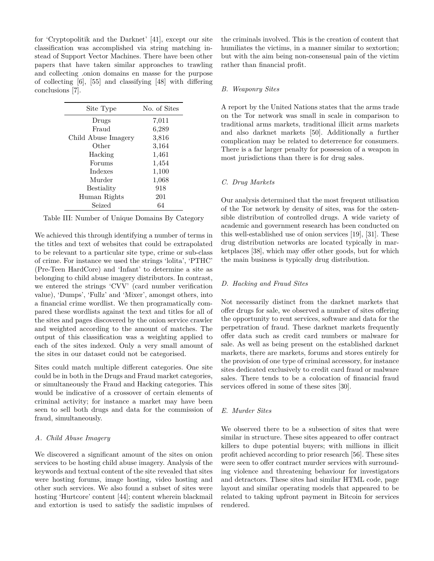for 'Cryptopolitik and the Darknet' [41], except our site classification was accomplished via string matching instead of Support Vector Machines. There have been other papers that have taken similar approaches to trawling and collecting .onion domains en masse for the purpose of collecting [6], [55] and classifying [48] with differing conclusions [7].

| Site Type           | No. of Sites |
|---------------------|--------------|
| Drugs               | 7,011        |
| Fraud               | 6,289        |
| Child Abuse Imagery | 3,816        |
| Other               | 3,164        |
| Hacking             | 1,461        |
| Forums              | 1,454        |
| Indexes             | 1,100        |
| Murder              | 1,068        |
| <b>Bestiality</b>   | 918          |
| Human Rights        | 201          |
| Seized              | 64           |

Table III: Number of Unique Domains By Category

We achieved this through identifying a number of terms in the titles and text of websites that could be extrapolated to be relevant to a particular site type, crime or sub-class of crime. For instance we used the strings 'lolita', 'PTHC' (Pre-Teen HardCore) and 'Infant' to determine a site as belonging to child abuse imagery distributors. In contrast, we entered the strings 'CVV' (card number verification value), 'Dumps', 'Fullz' and 'Mixer', amongst others, into a financial crime wordlist. We then programatically compared these wordlists against the text and titles for all of the sites and pages discovered by the onion service crawler and weighted according to the amount of matches. The output of this classification was a weighting applied to each of the sites indexed. Only a very small amount of the sites in our dataset could not be categorised.

Sites could match multiple different categories. One site could be in both in the Drugs and Fraud market categories, or simultaneously the Fraud and Hacking categories. This would be indicative of a crossover of certain elements of criminal activity; for instance a market may have been seen to sell both drugs and data for the commission of fraud, simultaneously.

### *A. Child Abuse Imagery*

We discovered a significant amount of the sites on onion services to be hosting child abuse imagery. Analysis of the keywords and textual content of the site revealed that sites were hosting forums, image hosting, video hosting and other such services. We also found a subset of sites were hosting 'Hurtcore' content [44]; content wherein blackmail and extortion is used to satisfy the sadistic impulses of the criminals involved. This is the creation of content that humiliates the victims, in a manner similar to sextortion; but with the aim being non-consensual pain of the victim rather than financial profit.

#### *B. Weaponry Sites*

A report by the United Nations states that the arms trade on the Tor network was small in scale in comparison to traditional arms markets, traditional illicit arms markets and also darknet markets [50]. Additionally a further complication may be related to deterrence for consumers. There is a far larger penalty for possession of a weapon in most jurisdictions than there is for drug sales.

#### *C. Drug Markets*

Our analysis determined that the most frequent utilisation of the Tor network by density of sites, was for the ostensible distribution of controlled drugs. A wide variety of academic and government research has been conducted on this well-established use of onion services [19], [31]. These drug distribution networks are located typically in marketplaces [38], which may offer other goods, but for which the main business is typically drug distribution.

#### *D. Hacking and Fraud Sites*

Not necessarily distinct from the darknet markets that offer drugs for sale, we observed a number of sites offering the opportunity to rent services, software and data for the perpetration of fraud. These darknet markets frequently offer data such as credit card numbers or malware for sale. As well as being present on the established darknet markets, there are markets, forums and stores entirely for the provision of one type of criminal accessory, for instance sites dedicated exclusively to credit card fraud or malware sales. There tends to be a colocation of financial fraud services offered in some of these sites [30].

#### *E. Murder Sites*

We observed there to be a subsection of sites that were similar in structure. These sites appeared to offer contract killers to dupe potential buyers; with millions in illicit profit achieved according to prior research [56]. These sites were seen to offer contract murder services with surrounding violence and threatening behaviour for investigators and detractors. These sites had similar HTML code, page layout and similar operating models that appeared to be related to taking upfront payment in Bitcoin for services rendered.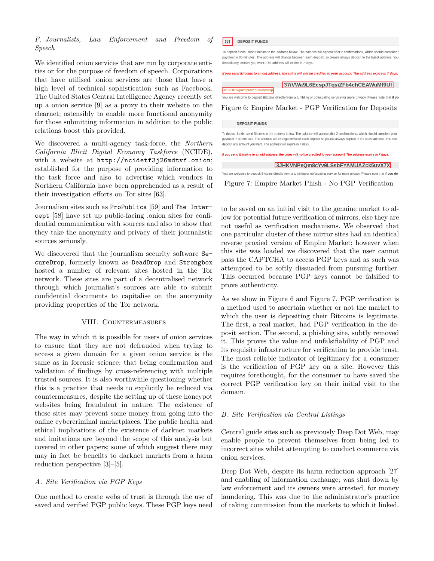## *F. Journalists, Law Enforcement and Freedom of Speech*

We identified onion services that are run by corporate entities or for the purpose of freedom of speech. Corporations that have utilised .onion services are those that have a high level of technical sophistication such as Facebook. The United States Central Intelligence Agency recently set up a onion service [9] as a proxy to their website on the clearnet; ostensibly to enable more functional anonymity for those submitting information in addition to the public relations boost this provided.

We discovered a multi-agency task-force, the *Northern California Illicit Digital Economy Taskforce* (NCIDE), with a website at http://ncidetf3j26mdtvf.onion; established for the purpose of providing information to the task force and also to advertise which vendors in Northern California have been apprehended as a result of their investigation efforts on Tor sites [63].

Journalism sites such as ProPublica [59] and The Intercept [58] have set up public-facing .onion sites for confidential communication with sources and also to show that they take the anonymity and privacy of their journalistic sources seriously.

We discovered that the journalism security software SecureDrop, formerly known as DeadDrop and Strongbox hosted a number of relevant sites hosted in the Tor network. These sites are part of a decentralised network through which journalist's sources are able to submit confidential documents to capitalise on the anonymity providing properties of the Tor network.

## VIII. Countermeasures

The way in which it is possible for users of onion services to ensure that they are not defrauded when trying to access a given domain for a given onion service is the same as in forensic science; that being confirmation and validation of findings by cross-referencing with multiple trusted sources. It is also worthwhile questioning whether this is a practice that needs to explicitly be reduced via countermeasures, despite the setting up of these honeypot websites being fraudulent in nature. The existence of these sites may prevent some money from going into the online cybercriminal marketplaces. The public health and ethical implications of the existence of darknet markets and imitations are beyond the scope of this analysis but covered in other papers; some of which suggest there may may in fact be benefits to darknet markets from a harm reduction perspective [3]–[5].

## *A. Site Verification via PGP Keys*

One method to create webs of trust is through the use of saved and verified PGP public keys. These PGP keys need  $\boxed{0}$ **DEPOSIT FUNDS** 

To deposit funds, send Bitcoins to the address below. The balance will appear after 2 confirmations, which should complete y payment in 30 minutes. The address will change between each deposit, so please always deposit to the latest address. You deposit any amount you want. The address will expire in 7 days

#### If you send Bitcoins to an old address, the coins will not be credited to your account. The address expire in 7 days

|                                   | 37iVWa9L6EcspJTqsiZFb4chCEAWuMf9Uf |
|-----------------------------------|------------------------------------|
| Get PGP signed proof of ownership |                                    |

You are welcome to deposit Bitcoins directly from a tumbling or obfuscating service for more privacy. Please note that if yor

Figure 6: Empire Market - PGP Verification for Deposits

#### **DEPOSIT FUNDS**

To deposit funds, send Bitcoins to the address below. The balance will appear after 2 confirmations, which should complete your payment in 30 minutes. The address will change between each deposit, so please always deposit to the latest address. You can deposit any amount you want. The address will expire in 7 days

.<br>If you send Bitcoins to an old address, the coins will not be credited to your account. The address expire in 7 days

3JHKVNPeQm8cYv9LSsbFYAMUAZck5uvX7X

You are welcome to deposit Bitcoins directly from a tumbling or obfuscating service for more privacy. Please note that if you do Figure 7: Empire Market Phish - No PGP Verification

to be saved on an initial visit to the genuine market to allow for potential future verification of mirrors, else they are not useful as verification mechanisms. We observed that one particular cluster of these mirror sites had an identical reverse proxied version of Empire Market; however when this site was loaded we discovered that the user cannot pass the CAPTCHA to access PGP keys and as such was attempted to be softly dissuaded from pursuing further. This occurred because PGP keys cannot be falsified to prove authenticity.

As we show in Figure 6 and Figure 7, PGP verification is a method used to ascertain whether or not the market to which the user is depositing their Bitcoins is legitimate. The first, a real market, had PGP verification in the deposit section. The second, a phishing site, subtly removed it. This proves the value and unfalsifiability of PGP and its requisite infrastructure for verification to provide trust. The most reliable indicator of legitimacy for a consumer is the verification of PGP key on a site. However this requires forethought, for the consumer to have saved the correct PGP verification key on their initial visit to the domain.

#### *B. Site Verification via Central Listings*

Central guide sites such as previously Deep Dot Web, may enable people to prevent themselves from being led to incorrect sites whilst attempting to conduct commerce via onion services.

Deep Dot Web, despite its harm reduction approach [27] and enabling of information exchange; was shut down by law enforcement and its owners were arrested, for money laundering. This was due to the administrator's practice of taking commission from the markets to which it linked.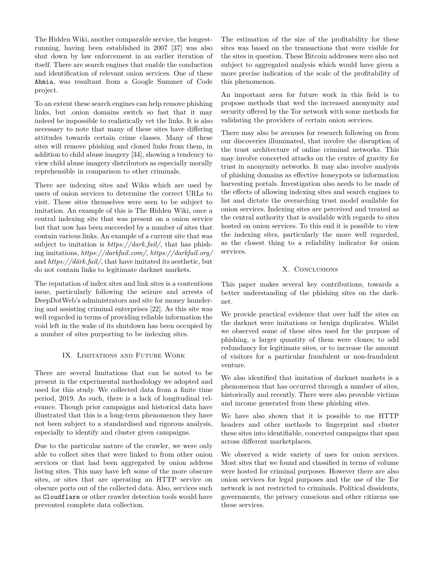The Hidden Wiki, another comparable service, the longestrunning, having been established in 2007 [37] was also shut down by law enforcement in an earlier iteration of itself. There are search engines that enable the conduction and identification of relevant onion services. One of these Ahmia, was resultant from a Google Summer of Code project.

To an extent these search engines can help remove phishing links, but .onion domains switch so fast that it may indeed be impossible to realistically vet the links. It is also necessary to note that many of these sites have differing attitudes towards certain crime classes. Many of these sites will remove phishing and cloned links from them, in addition to child abuse imagery [34], showing a tendency to view child abuse imagery distributors as especially morally reprehensible in comparison to other criminals.

There are indexing sites and Wikis which are used by users of onion services to determine the correct URLs to visit. These sites themselves were seen to be subject to imitation. An example of this is The Hidden Wiki, once a central indexing site that was present on a onion service but that now has been succeeded by a number of sites that contain various links. An example of a current site that was subject to imitation is *https://dark.fail/*, that has phishing imitations, *https://darkfail.com/*, *https://darkfail.org/* and *https://därk.fail/*, that have imitated its aesthetic, but do not contain links to legitimate darknet markets.

The reputation of index sites and link sites is a contentious issue, particularly following the seizure and arrests of DeepDotWeb's administrators and site for money laundering and assisting criminal enterprises [22]. As this site was well regarded in terms of providing reliable information the void left in the wake of its shutdown has been occupied by a number of sites purporting to be indexing sites.

## IX. LIMITATIONS AND FUTURE WORK

There are several limitations that can be noted to be present in the experimental methodology we adopted and used for this study. We collected data from a finite time period, 2019. As such, there is a lack of longitudinal relevance. Though prior campaigns and historical data have illustrated that this is a long-term phenomenon they have not been subject to a standardised and rigorous analysis, especially to identify and cluster given campaigns.

Due to the particular nature of the crawler, we were only able to collect sites that were linked to from other onion services or that had been aggregated by onion address listing sites. This may have left some of the more obscure sites, or sites that are operating an HTTP service on obscure ports out of the collected data. Also, services such as Cloudflare or other crawler detection tools would have prevented complete data collection.

The estimation of the size of the profitability for these sites was based on the transactions that were visible for the sites in question. These Bitcoin addresses were also not subject to aggregated analysis which would have given a more precise indication of the scale of the profitability of this phenomenon.

An important area for future work in this field is to propose methods that wed the increased anonymity and security offered by the Tor network with some methods for validating the providers of certain onion services.

There may also be avenues for research following on from our discoveries illuminated, that involve the disruption of the trust architecture of online criminal networks. This may involve concerted attacks on the centre of gravity for trust in anonymity networks. It may also involve analysis of phishing domains as effective honeypots or information harvesting portals. Investigation also needs to be made of the effects of allowing indexing sites and search engines to list and dictate the overarching trust model available for onion services. Indexing sites are perceived and treated as the central authority that is available with regards to sites hosted on onion services. To this end it is possible to view the indexing sites, particularly the more well regarded, as the closest thing to a reliability indicator for onion services.

## X. CONCLUSIONS

This paper makes several key contributions, towards a better understanding of the phishing sites on the darknet.

We provide practical evidence that over half the sites on the darknet were imitations or benign duplicates. Whilst we observed some of these sites used for the purpose of phishing, a larger quantity of them were clones; to add redundancy for legitimate sites, or to increase the amount of visitors for a particular fraudulent or non-fraudulent venture.

We also identified that imitation of darknet markets is a phenomenon that has occurred through a number of sites, historically and recently. There were also provable victims and income generated from these phishing sites.

We have also shown that it is possible to use HTTP headers and other methods to fingerprint and cluster these sites into identifiable, concerted campaigns that span across different marketplaces.

We observed a wide variety of uses for onion services. Most sites that we found and classified in terms of volume were hosted for criminal purposes. However there are also onion services for legal purposes and the use of the Tor network is not restricted to criminals. Political dissidents, governments, the privacy conscious and other citizens use these services.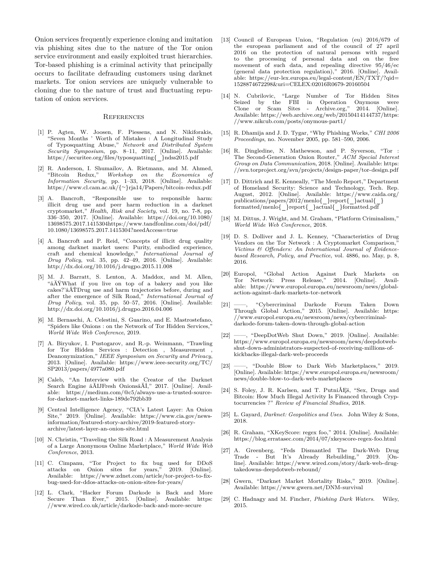Onion services frequently experience cloning and imitation via phishing sites due to the nature of the Tor onion service environment and easily exploited trust hierarchies. Tor-based phishing is a criminal activity that principally occurs to facilitate defrauding customers using darknet markets. Tor onion services are uniquely vulnerable to cloning due to the nature of trust and fluctuating reputation of onion services.

#### **REFERENCES**

- [1] P. Agten, W. Joosen, F. Piessens, and N. Nikiforakis, "Seven Months ' Worth of Mistakes : A Longitudinal Study of Typosquatting Abuse," *Network and Distributed System Security Symposium*, pp. 8–11, 2017. [Online]. Available: https://securitee*.*org/files/typosquatting{ }ndss2015*.*pdf
- [2] R. Anderson, I. Shumailov, A. Rietmann, and M. Ahmed, "Bitcoin Redux," *Workshop on the Economics of Information Security*, pp. 1–33, 2018. [Online]. Available: https://www*.*cl*.*cam*.*ac*.*uk/{∼}rja14/Papers/bitcoin-redux*.*pdf
- [3] A. Bancroft, "Responsible use to responsible harm: illicit drug use and peer harm reduction in a darknet cryptomarket," *Health, Risk and Society*, vol. 19, no. 7-8, pp. 336–350, 2017. [Online]. Available: https://doi*.*org/10*.*1080/ 13698575*.*2017*.*1415304https://www*.*tandfonline*.*com/doi/pdf/ 10*.*1080/13698575*.*2017*.*1415304?needAccess=true
- [4] A. Bancroft and P. Reid, "Concepts of illicit drug quality among darknet market users: Purity, embodied experience, craft and chemical knowledge," *International Journal of Drug Policy*, vol. 35, pp. 42–49, 2016. [Online]. Available: http://dx*.*doi*.*org/10*.*1016/j*.*drugpo*.*2015*.*11*.*008
- [5] M. J. Barratt, S. Lenton, A. Maddox, and M. Allen, "âĂŸWhat if you live on top of a bakery and you like cakes?'âĂŤDrug use and harm trajectories before, during and after the emergence of Silk Road," *International Journal of Drug Policy*, vol. 35, pp. 50–57, 2016. [Online]. Available: http://dx*.*doi*.*org/10*.*1016/j*.*drugpo*.*2016*.*04*.*006
- [6] M. Bernaschi, A. Celestini, S. Guarino, and E. Mastrostefano, "Spiders like Onions : on the Network of Tor Hidden Services," *World Wide Web Conference*, 2019.
- [7] A. Biryukov, I. Pustogarov, and R.-p. Weinmann, "Trawling for Tor Hidden Services : Detection , Measurement , Deanonymization," *IEEE Symposium on Security and Privacy*, 2013. [Online]. Available: https://www*.*ieee-security*.*org/TC/ SP2013/papers/4977a080*.*pdf
- [8] Caleb, "An Interview with the Creator of the Darknet Search Engine âĂIJFresh OnionsâĂİ," 2017. [Online]. Available: https://medium*.*com/@c5/always-use-a-trusted-sourcefor-darknet-market-links-189de792bb39
- [9] Central Intelligence Agency, "CIA's Latest Layer: An Onion Site," 2019. [Online]. Available: https://www*.*cia*.*gov/newsinformation/featured-story-archive/2019-featured-storyarchive/latest-layer-an-onion-site*.*html
- [10] N. Christin, "Traveling the Silk Road : A Measurement Analysis of a Large Anonymous Online Marketplace," *World Wide Web Conference*, 2013.
- [11] C. Cimpanu, "Tor Project to fix bug used for DDoS attacks on Onion sites for years," 2019. [Online]. Available: https://www*.*zdnet*.*com/article/tor-project-to-fixbug-used-for-ddos-attacks-on-onion-sites-for-years/
- [12] L. Clark, "Hacker Forum Darkode is Back and More Secure Than Ever," 2015. [Online]. Available: https: //www*.*wired*.*co*.*uk/article/darkode-back-and-more-secure
- [13] Council of European Union, "Regulation (eu) 2016/679 of the european parliament and of the council of 27 april 2016 on the protection of natural persons with regard to the processing of personal data and on the free movement of such data, and repealing directive 95/46/ec (general data protection regulation)," 2016. [Online]. Available: https://eur-lex*.*europa*.*eu/legal-content/EN/TXT/?qid= 1528874672298&uri=CELEX:02016R0679-20160504
- [14] N. Cubrilovic, "Large Number of Tor Hidden Sites Seized by the FBI in Operation Onymous were Clone or Scam Sites - Archive.org," 2014. [Online]. Available: https://web*.*archive*.*org/web/20150414144737/https: //www*.*nikcub*.*com/posts/onymous-part1/
- [15] R. Dhamija and J. D. Tygar, "Why Phishing Works," *CHI 2006 Proceedings*, no. November 2005, pp. 581–590, 2006.
- [16] R. Dingledine, N. Mathewson, and P. Syverson, "Tor : The Second-Generation Onion Router," *ACM Special Interest Group on Data Communication*, 2018. [Online]. Available: https: //svn*.*torproject*.*org/svn/projects/design-paper/tor-design*.*pdf
- [17] D. Dittrich and E. Kenneally, "The Menlo Report," Department of Homeland Security: Science and Technology, Tech. Rep. August, 2012. [Online]. Available: https://www*.*caida*.*org/  $pubits/popers/2012/menlo{$  report{  $\angle$  actual{ } formatted/menlo{ }report{ }actual{ }formatted*.*pdf
- [18] M. Dittus, J. Wright, and M. Graham, "Platform Criminalism," *World Wide Web Conference*, 2018.
- [19] D. S. Dolliver and J. L. Kenney, "Characteristics of Drug Vendors on the Tor Network : A Cryptomarket Comparison," *Victims & Offenders: An International Journal of Evidencebased Research, Policy, and Practice*, vol. 4886, no. May, p. 8, 2016.
- [20] Europol, "Global Action Against Dark Markets on Tor Network: Press Release," 2014. [Online]. Available: https://www*.*europol*.*europa*.*eu/newsroom/news/globalaction-against-dark-markets-tor-network
- [21] ——, "Cybercriminal Darkode Forum Taken Down Through Global Action," 2015. [Online]. Available: https: //www*.*europol*.*europa*.*eu/newsroom/news/cybercriminaldarkode-forum-taken-down-through-global-action
- [22] ——, "DeepDotWeb Shut Down," 2019. [Online]. Available: https://www*.*europol*.*europa*.*eu/newsroom/news/deepdotwebshut-down-administrators-suspected-of-receiving-millions-ofkickbacks-illegal-dark-web-proceeds
- [23] ——, "Double Blow to Dark Web Marketplaces," 2019. [Online]. Available: https://www*.*europol*.*europa*.*eu/newsroom/ news/double-blow-to-dark-web-marketplaces
- [24] S. Foley, J. R. Karlsen, and T. PutniÅEš, "Sex, Drugs and Bitcoin: How Much Illegal Activity Is Financed through Cryptocurrencies ?" *Review of Financial Studies*, 2018.
- [25] L. Gayard, *Darknet: Geopolitics and Uses*. John Wiley & Sons, 2018.
- [26] R. Graham, "XKeyScore: regex foo," 2014. [Online]. Available: https://blog*.*erratasec*.*com/2014/07/xkeyscore-regex-foo*.*html
- [27] A. Greenberg, "Feds Dismantled The Dark-Web Drug Trade - But It's Already Rebuilding," 2019. [Online]. Available: https://www*.*wired*.*com/story/dark-web-drugtakedowns-deepdotweb-rebound/
- [28] Gwern, "Darknet Market Mortality Risks," 2019. [Online]. Available: https://www*.*gwern*.*net/DNM-survival
- [29] C. Hadnagy and M. Fincher, *Phishing Dark Waters*. Wiley, 2015.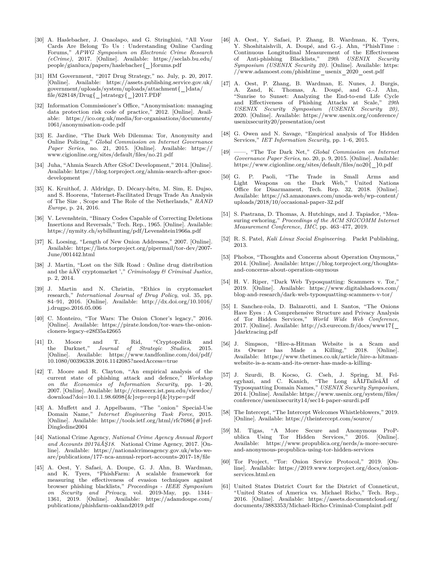- [30] A. Haslebacher, J. Onaolapo, and G. Stringhini, "All Your Cards Are Belong To Us : Understanding Online Carding Forums," *APWG Symposium on Electronic Crime Research (eCrime)*, 2017. [Online]. Available: https://seclab*.*bu*.*edu/ people/gianluca/papers/haslebacher{ }forums*.*pdf
- [31] HM Government, "2017 Drug Strategy," no. July, p. 20, 2017. [Online]. Available: https://assets*.*publishing*.*service*.*gov*.*uk/  $\frac{1}{\sqrt{2}}$ government/uploads/system/uploads/attachment{  $\frac{1}{\sqrt{2}}$  data/ file/628148/Drug{ }strategy{ }2017*.*PDF
- [32] Information Commissioner's Office, "Anonymisation: managing data protection risk code of practice," 2012. [Online]. Available: https://ico*.*org*.*uk/media/for-organisations/documents/ 1061/anonymisation-code*.*pdf
- [33] E. Jardine, "The Dark Web Dilemma: Tor, Anonymity and Online Policing," *Global Commission on Internet Governance Paper Series*, no. 21, 2015. [Online]. Available: https:// www*.*cigionline*.*org/sites/default/files/no*.*21*.*pdf
- [34] Juha, "Ahmia Search After GSoC Development," 2014. [Online]. Available: https://blog*.*torproject*.*org/ahmia-search-after-gsocdevelopment
- [35] K. Kruithof, J. Aldridge, D. Décary-hétu, M. Sim, E. Dujso, and S. Hoorens, "Internet-Facilitated Drugs Trade An Analysis of The Size , Scope and The Role of the Netherlands," *RAND Europe*, p. 24, 2016.
- [36] V. Levenshtein, "Binary Codes Capable of Correcting Deletions Insertions and Reversals," Tech. Rep., 1965. [Online]. Available: https://nymity*.*ch/sybilhunting/pdf/Levenshtein1966a*.*pdf
- [37] K. Loesing, "Length of New Onion Addresses," 2007. [Online]. Available: https://lists*.*torproject*.*org/pipermail/tor-dev/2007- June/001442*.*html
- [38] J. Martin, "Lost on the Silk Road : Online drug distribution and the âĂŸ cryptomarket '," *Criminology & Criminal Justice*, p. 2, 2014.
- [39] J. Martin and N. Christin, "Ethics in cryptomarket research," *International Journal of Drug Policy*, vol. 35, pp. 84–91, 2016. [Online]. Available: http://dx*.*doi*.*org/10*.*1016/ j*.*drugpo*.*2016*.*05*.*006
- [40] C. Monteiro, "Tor Wars: The Onion Cloner's legacy," 2016. [Online]. Available: https://pirate*.*london/tor-wars-the-onioncloners-legacy-e28f35a42665
- [41] D. Moore and T. Rid, "Cryptopolitik and the Darknet," *Journal of Strategic Studies*, 2015. the Darknet," *Journal of Strategic Studies*, [Online]. Available: https://www*.*tandfonline*.*com/doi/pdf/ 10*.*1080/00396338*.*2016*.*1142085?needAccess=true
- [42] T. Moore and R. Clayton, "An empirical analysis of the current state of phishing attack and defence," *Workshop on the Economics of Information Security*, pp. 1–20, 2007. [Online]. Available: http://citeseerx*.*ist*.*psu*.*edu/viewdoc/ download?doi=10*.*1*.*1*.*98*.*6098{&}rep=rep1{&}type=pdf
- [43] A. Muffett and J. Appelbaum, "The ".onion" Special-Use Domain Name," *Internet Engineering Task Force*, 2015. [Online]. Available: https://tools*.*ietf*.*org/html/rfc7686{#}ref-Dingledine2004
- [44] National Crime Agency, *National Crime Agency Annual Report and Accounts 2017âĂŞ18*. National Crime Agency, 2017. [Online]. Available: https://nationalcrimeagency*.*gov*.*uk/who-weare/publications/177-nca-annual-report-accounts-2017-18/file
- [45] A. Oest, Y. Safaei, A. Doupe, G. J. Ahn, B. Wardman, and K. Tyers, "PhishFarm: A scalable framework for measuring the effectiveness of evasion techniques against browser phishing blacklists," *Proceedings - IEEE Symposium on Security and Privacy*, vol. 2019-May, pp. 1344– 1361, 2019. [Online]. Available: https://adamdoupe*.*com/ publications/phishfarm-oakland2019*.*pdf
- [46] A. Oest, Y. Safaei, P. Zhang, B. Wardman, K. Tyers, Y. Shoshitaishvili, A. Doupé, and G.-j. Ahn, "PhishTime : Continuous Longitudinal Measurement of the Effectiveness of Anti-phishing Blacklists," *29th USENIX Security Symposium (USENIX Security 20)*. [Online]. Available: https: //www*.*adamoest*.*com/phishtime usenix 2020 oest*.*pdf
- [47] A. Oest, P. Zhang, B. Wardman, E. Nunes, J. Burgis, A. Zand, K. Thomas, A. Doupé, and G.-J. Ahn, "Sunrise to Sunset: Analyzing the End-to-end Life Cycle and Effectiveness of Phishing Attacks at Scale," *29th USENIX Security Symposium (USENIX Security 20)*, 2020. [Online]. Available: https://www*.*usenix*.*org/conference/ usenixsecurity20/presentation/oest
- [48] G. Owen and N. Savage, "Empirical analysis of Tor Hidden Services," *IET Information Security*, pp. 1–6, 2015.
- [49] ——, "The Tor Dark Net," *Global Commission on Internet Governance Paper Series*, no. 20, p. 9, 2015. [Online]. Available: https://www*.*cigionline*.*org/sites/default/files/no20{ }0*.*pdf
- [50] G. P. Paoli, "The Trade in Small Arms and Light Weapons on the Dark Web," United Nations Office for Disarmament, Tech. Rep. 32, 2018. [Online]. Available: https://s3*.*amazonaws*.*com/unoda-web/wp-content/ uploads/2018/10/occasional-paper-32*.*pdf
- [51] S. Pastrana, D. Thomas, A. Hutchings, and J. Tapiador, "Measuring ewhoring," *Proceedings of the ACM SIGCOMM Internet Measurement Conference, IMC*, pp. 463–477, 2019.
- [52] R. S. Patel, *Kali Linux Social Engineering*. Packt Publishing, 2013.
- [53] Phobos, "Thoughts and Concerns about Operation Onymous," 2014. [Online]. Available: https://blog*.*torproject*.*org/thoughtsand-concerns-about-operation-onymous
- [54] H. V. Riper, "Dark Web Typosquatting: Scammers v. Tor," 2019. [Online]. Available: https://www*.*digitalshadows*.*com/ blog-and-research/dark-web-typosquatting-scammers-v-tor/
- [55] I. Sanchez-rola, D. Balzarotti, and I. Santos, "The Onions Have Eyes : A Comprehensive Structure and Privacy Analysis of Tor Hidden Services," *World Wide Web Conference*, 2017. [Online]. Available: http://s3*.*eurecom*.*fr/docs/www17{ }darktracing*.*pdf
- [56] J. Simpson, "Hire-a-Hitman Website is a Scam and its Owner has Made a Killing," 2018. [Online]. Available: https://www*.*thetimes*.*co*.*uk/article/hire-a-hitmanwebsite-is-a-scam-and-its-owner-has-made-a-killing-
- [57] J. Szurdi, B. Kocso, G. Cseh, J. Spring, M. Felegyhazi, and C. Kanich, "The Long âĂIJTaileâĂİ of Typosquatting Domain Names," *USENIX Security Symposium*, 2014. [Online]. Available: https://www*.*usenix*.*org/system/files/ conference/usenixsecurity14/sec14-paper-szurdi*.*pdf
- [58] The Intercept, "The Intercept Welcomes Whistleblowers," 2019. [Online]. Available: https://theintercept*.*com/source/
- [59] M. Tigas, "A More Secure and Anonymous ProPublica Using Tor Hidden Services," 2016. [Online]. Available: https://www*.*propublica*.*org/nerds/a-more-secureand-anonymous-propublica-using-tor-hidden-services
- [60] Tor Project, "Tor: Onion Service Protocol," 2019. [Online]. Available: https://2019*.*www*.*torproject*.*org/docs/onionservices*.*html*.*en
- [61] United States District Court for the District of Conneticut, "United States of America vs. Michael Richo," Tech. Rep., 2016. [Online]. Available: https://assets*.*documentcloud*.*org/ documents/3883353/Michael-Richo-Criminal-Complaint*.*pdf